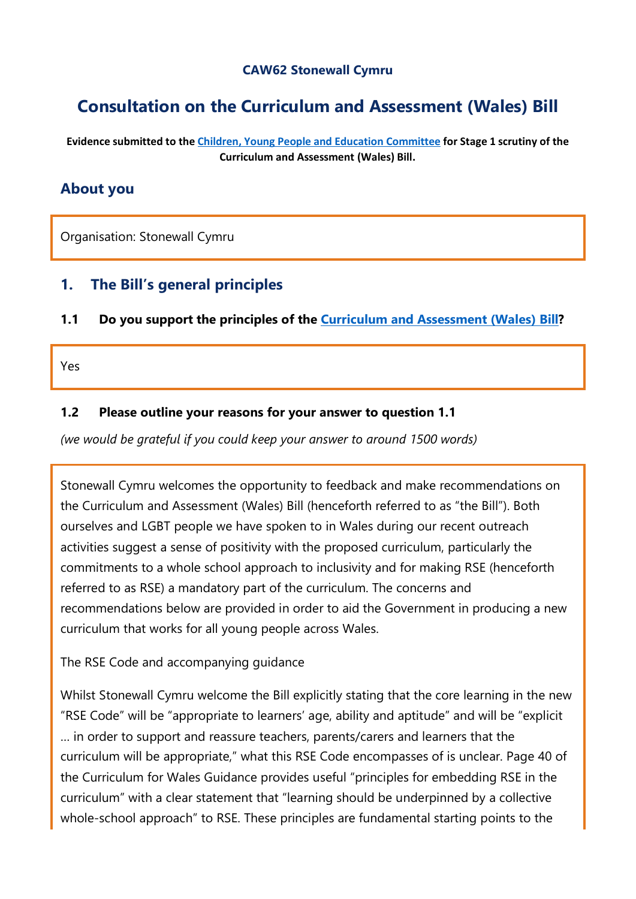#### **CAW62 Stonewall Cymru**

# **Consultation on the Curriculum and Assessment (Wales) Bill**

**Evidence submitted to the [Children, Young People and Education Committee](http://senedd.assembly.wales/mgCommitteeDetails.aspx?ID=443) for Stage 1 scrutiny of the Curriculum and Assessment (Wales) Bill.**

### **About you**

Organisation: Stonewall Cymru

### **1. The Bill's general principles**

**1.1 Do you support the principles of the [Curriculum and Assessment \(Wales\) Bill?](https://business.senedd.wales/mgIssueHistoryHome.aspx?IId=28836)**

Yes

#### **1.2 Please outline your reasons for your answer to question 1.1**

*(we would be grateful if you could keep your answer to around 1500 words)*

Stonewall Cymru welcomes the opportunity to feedback and make recommendations on the Curriculum and Assessment (Wales) Bill (henceforth referred to as "the Bill"). Both ourselves and LGBT people we have spoken to in Wales during our recent outreach activities suggest a sense of positivity with the proposed curriculum, particularly the commitments to a whole school approach to inclusivity and for making RSE (henceforth referred to as RSE) a mandatory part of the curriculum. The concerns and recommendations below are provided in order to aid the Government in producing a new curriculum that works for all young people across Wales.

#### The RSE Code and accompanying guidance

Whilst Stonewall Cymru welcome the Bill explicitly stating that the core learning in the new "RSE Code" will be "appropriate to learners' age, ability and aptitude" and will be "explicit … in order to support and reassure teachers, parents/carers and learners that the curriculum will be appropriate," what this RSE Code encompasses of is unclear. Page 40 of the Curriculum for Wales Guidance provides useful "principles for embedding RSE in the curriculum" with a clear statement that "learning should be underpinned by a collective whole-school approach" to RSE. These principles are fundamental starting points to the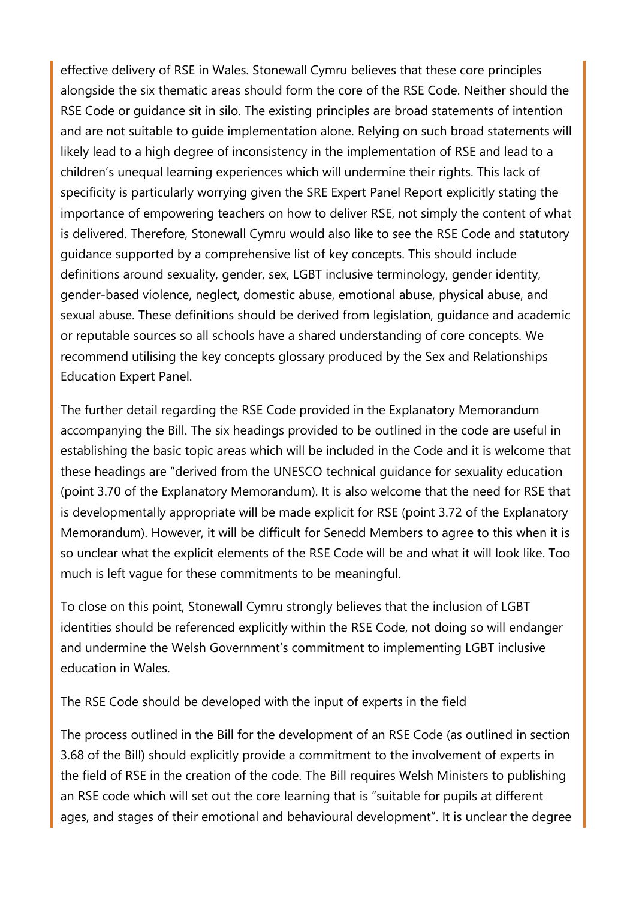effective delivery of RSE in Wales. Stonewall Cymru believes that these core principles alongside the six thematic areas should form the core of the RSE Code. Neither should the RSE Code or guidance sit in silo. The existing principles are broad statements of intention and are not suitable to guide implementation alone. Relying on such broad statements will likely lead to a high degree of inconsistency in the implementation of RSE and lead to a children's unequal learning experiences which will undermine their rights. This lack of specificity is particularly worrying given the SRE Expert Panel Report explicitly stating the importance of empowering teachers on how to deliver RSE, not simply the content of what is delivered. Therefore, Stonewall Cymru would also like to see the RSE Code and statutory guidance supported by a comprehensive list of key concepts. This should include definitions around sexuality, gender, sex, LGBT inclusive terminology, gender identity, gender-based violence, neglect, domestic abuse, emotional abuse, physical abuse, and sexual abuse. These definitions should be derived from legislation, guidance and academic or reputable sources so all schools have a shared understanding of core concepts. We recommend utilising the key concepts glossary produced by the Sex and Relationships Education Expert Panel.

The further detail regarding the RSE Code provided in the Explanatory Memorandum accompanying the Bill. The six headings provided to be outlined in the code are useful in establishing the basic topic areas which will be included in the Code and it is welcome that these headings are "derived from the UNESCO technical guidance for sexuality education (point 3.70 of the Explanatory Memorandum). It is also welcome that the need for RSE that is developmentally appropriate will be made explicit for RSE (point 3.72 of the Explanatory Memorandum). However, it will be difficult for Senedd Members to agree to this when it is so unclear what the explicit elements of the RSE Code will be and what it will look like. Too much is left vague for these commitments to be meaningful.

To close on this point, Stonewall Cymru strongly believes that the inclusion of LGBT identities should be referenced explicitly within the RSE Code, not doing so will endanger and undermine the Welsh Government's commitment to implementing LGBT inclusive education in Wales.

The RSE Code should be developed with the input of experts in the field

The process outlined in the Bill for the development of an RSE Code (as outlined in section 3.68 of the Bill) should explicitly provide a commitment to the involvement of experts in the field of RSE in the creation of the code. The Bill requires Welsh Ministers to publishing an RSE code which will set out the core learning that is "suitable for pupils at different ages, and stages of their emotional and behavioural development". It is unclear the degree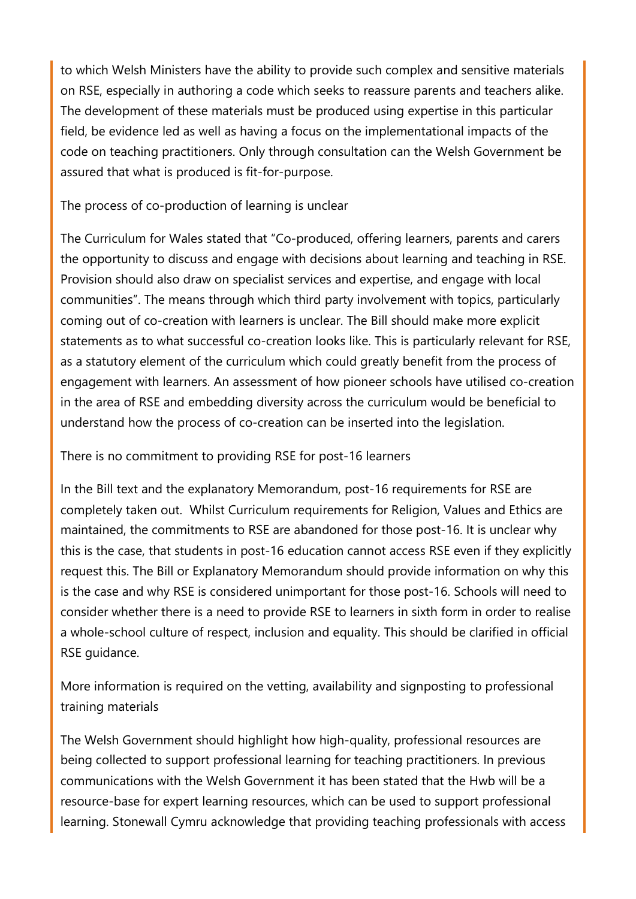to which Welsh Ministers have the ability to provide such complex and sensitive materials on RSE, especially in authoring a code which seeks to reassure parents and teachers alike. The development of these materials must be produced using expertise in this particular field, be evidence led as well as having a focus on the implementational impacts of the code on teaching practitioners. Only through consultation can the Welsh Government be assured that what is produced is fit-for-purpose.

The process of co-production of learning is unclear

The Curriculum for Wales stated that "Co-produced, offering learners, parents and carers the opportunity to discuss and engage with decisions about learning and teaching in RSE. Provision should also draw on specialist services and expertise, and engage with local communities". The means through which third party involvement with topics, particularly coming out of co-creation with learners is unclear. The Bill should make more explicit statements as to what successful co-creation looks like. This is particularly relevant for RSE, as a statutory element of the curriculum which could greatly benefit from the process of engagement with learners. An assessment of how pioneer schools have utilised co-creation in the area of RSE and embedding diversity across the curriculum would be beneficial to understand how the process of co-creation can be inserted into the legislation.

There is no commitment to providing RSE for post-16 learners

In the Bill text and the explanatory Memorandum, post-16 requirements for RSE are completely taken out. Whilst Curriculum requirements for Religion, Values and Ethics are maintained, the commitments to RSE are abandoned for those post-16. It is unclear why this is the case, that students in post-16 education cannot access RSE even if they explicitly request this. The Bill or Explanatory Memorandum should provide information on why this is the case and why RSE is considered unimportant for those post-16. Schools will need to consider whether there is a need to provide RSE to learners in sixth form in order to realise a whole-school culture of respect, inclusion and equality. This should be clarified in official RSE guidance.

More information is required on the vetting, availability and signposting to professional training materials

The Welsh Government should highlight how high-quality, professional resources are being collected to support professional learning for teaching practitioners. In previous communications with the Welsh Government it has been stated that the Hwb will be a resource-base for expert learning resources, which can be used to support professional learning. Stonewall Cymru acknowledge that providing teaching professionals with access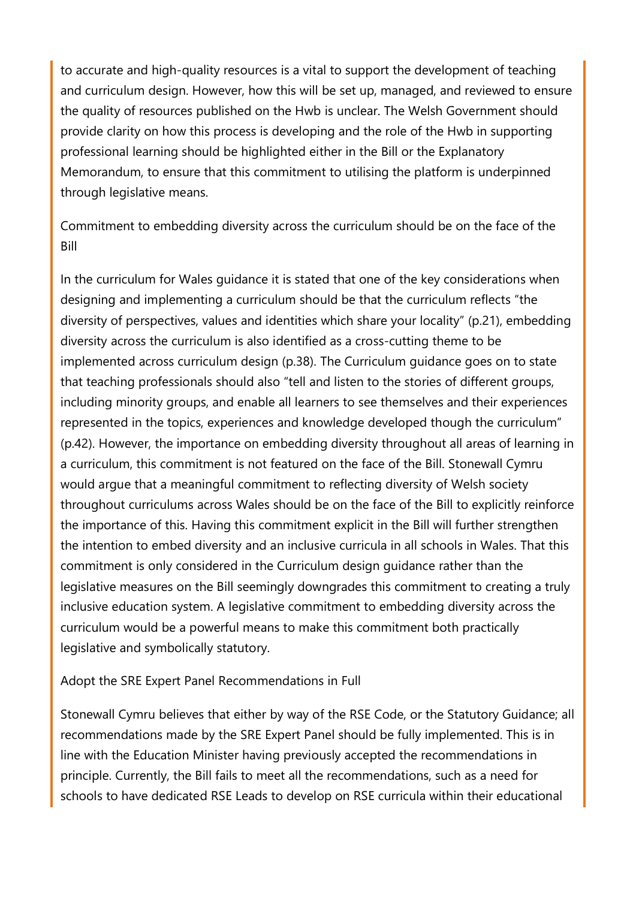to accurate and high-quality resources is a vital to support the development of teaching and curriculum design. However, how this will be set up, managed, and reviewed to ensure the quality of resources published on the Hwb is unclear. The Welsh Government should provide clarity on how this process is developing and the role of the Hwb in supporting professional learning should be highlighted either in the Bill or the Explanatory Memorandum, to ensure that this commitment to utilising the platform is underpinned through legislative means.

Commitment to embedding diversity across the curriculum should be on the face of the Bill

In the curriculum for Wales guidance it is stated that one of the key considerations when designing and implementing a curriculum should be that the curriculum reflects "the diversity of perspectives, values and identities which share your locality" (p.21), embedding diversity across the curriculum is also identified as a cross-cutting theme to be implemented across curriculum design (p.38). The Curriculum guidance goes on to state that teaching professionals should also "tell and listen to the stories of different groups, including minority groups, and enable all learners to see themselves and their experiences represented in the topics, experiences and knowledge developed though the curriculum" (p.42). However, the importance on embedding diversity throughout all areas of learning in a curriculum, this commitment is not featured on the face of the Bill. Stonewall Cymru would argue that a meaningful commitment to reflecting diversity of Welsh society throughout curriculums across Wales should be on the face of the Bill to explicitly reinforce the importance of this. Having this commitment explicit in the Bill will further strengthen the intention to embed diversity and an inclusive curricula in all schools in Wales. That this commitment is only considered in the Curriculum design guidance rather than the legislative measures on the Bill seemingly downgrades this commitment to creating a truly inclusive education system. A legislative commitment to embedding diversity across the curriculum would be a powerful means to make this commitment both practically legislative and symbolically statutory.

#### Adopt the SRE Expert Panel Recommendations in Full

Stonewall Cymru believes that either by way of the RSE Code, or the Statutory Guidance; all recommendations made by the SRE Expert Panel should be fully implemented. This is in line with the Education Minister having previously accepted the recommendations in principle. Currently, the Bill fails to meet all the recommendations, such as a need for schools to have dedicated RSE Leads to develop on RSE curricula within their educational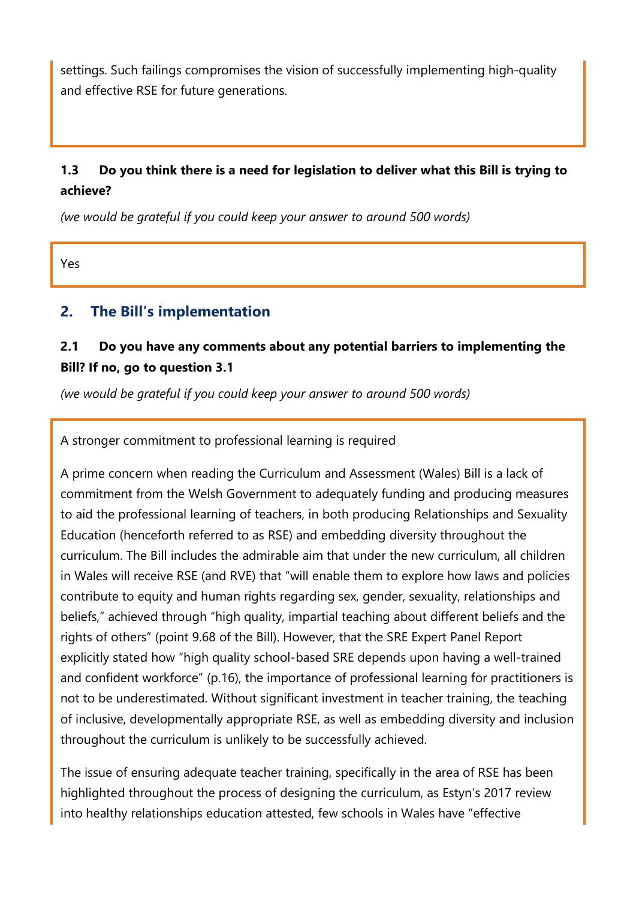settings. Such failings compromises the vision of successfully implementing high-quality and effective RSE for future generations.

# **1.3 Do you think there is a need for legislation to deliver what this Bill is trying to achieve?**

*(we would be grateful if you could keep your answer to around 500 words)*

Yes

### **2. The Bill's implementation**

### **2.1 Do you have any comments about any potential barriers to implementing the Bill? If no, go to question 3.1**

*(we would be grateful if you could keep your answer to around 500 words)*

A stronger commitment to professional learning is required

A prime concern when reading the Curriculum and Assessment (Wales) Bill is a lack of commitment from the Welsh Government to adequately funding and producing measures to aid the professional learning of teachers, in both producing Relationships and Sexuality Education (henceforth referred to as RSE) and embedding diversity throughout the curriculum. The Bill includes the admirable aim that under the new curriculum, all children in Wales will receive RSE (and RVE) that "will enable them to explore how laws and policies contribute to equity and human rights regarding sex, gender, sexuality, relationships and beliefs," achieved through "high quality, impartial teaching about different beliefs and the rights of others" (point 9.68 of the Bill). However, that the SRE Expert Panel Report explicitly stated how "high quality school-based SRE depends upon having a well-trained and confident workforce" (p.16), the importance of professional learning for practitioners is not to be underestimated. Without significant investment in teacher training, the teaching of inclusive, developmentally appropriate RSE, as well as embedding diversity and inclusion throughout the curriculum is unlikely to be successfully achieved.

The issue of ensuring adequate teacher training, specifically in the area of RSE has been highlighted throughout the process of designing the curriculum, as Estyn's 2017 review into healthy relationships education attested, few schools in Wales have "effective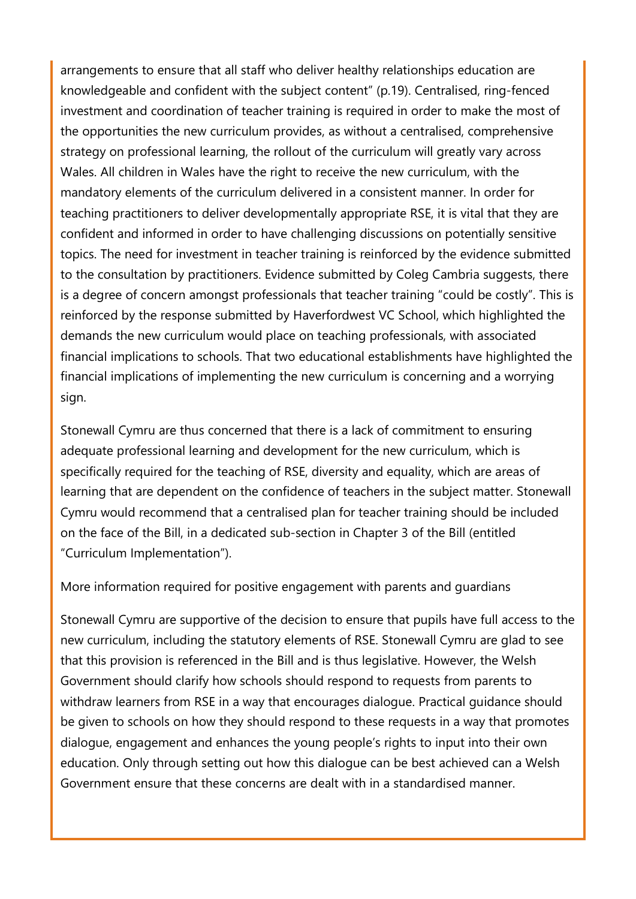arrangements to ensure that all staff who deliver healthy relationships education are knowledgeable and confident with the subject content" (p.19). Centralised, ring-fenced investment and coordination of teacher training is required in order to make the most of the opportunities the new curriculum provides, as without a centralised, comprehensive strategy on professional learning, the rollout of the curriculum will greatly vary across Wales. All children in Wales have the right to receive the new curriculum, with the mandatory elements of the curriculum delivered in a consistent manner. In order for teaching practitioners to deliver developmentally appropriate RSE, it is vital that they are confident and informed in order to have challenging discussions on potentially sensitive topics. The need for investment in teacher training is reinforced by the evidence submitted to the consultation by practitioners. Evidence submitted by Coleg Cambria suggests, there is a degree of concern amongst professionals that teacher training "could be costly". This is reinforced by the response submitted by Haverfordwest VC School, which highlighted the demands the new curriculum would place on teaching professionals, with associated financial implications to schools. That two educational establishments have highlighted the financial implications of implementing the new curriculum is concerning and a worrying sign.

Stonewall Cymru are thus concerned that there is a lack of commitment to ensuring adequate professional learning and development for the new curriculum, which is specifically required for the teaching of RSE, diversity and equality, which are areas of learning that are dependent on the confidence of teachers in the subject matter. Stonewall Cymru would recommend that a centralised plan for teacher training should be included on the face of the Bill, in a dedicated sub-section in Chapter 3 of the Bill (entitled "Curriculum Implementation").

More information required for positive engagement with parents and guardians

Stonewall Cymru are supportive of the decision to ensure that pupils have full access to the new curriculum, including the statutory elements of RSE. Stonewall Cymru are glad to see that this provision is referenced in the Bill and is thus legislative. However, the Welsh Government should clarify how schools should respond to requests from parents to withdraw learners from RSE in a way that encourages dialogue. Practical guidance should be given to schools on how they should respond to these requests in a way that promotes dialogue, engagement and enhances the young people's rights to input into their own education. Only through setting out how this dialogue can be best achieved can a Welsh Government ensure that these concerns are dealt with in a standardised manner.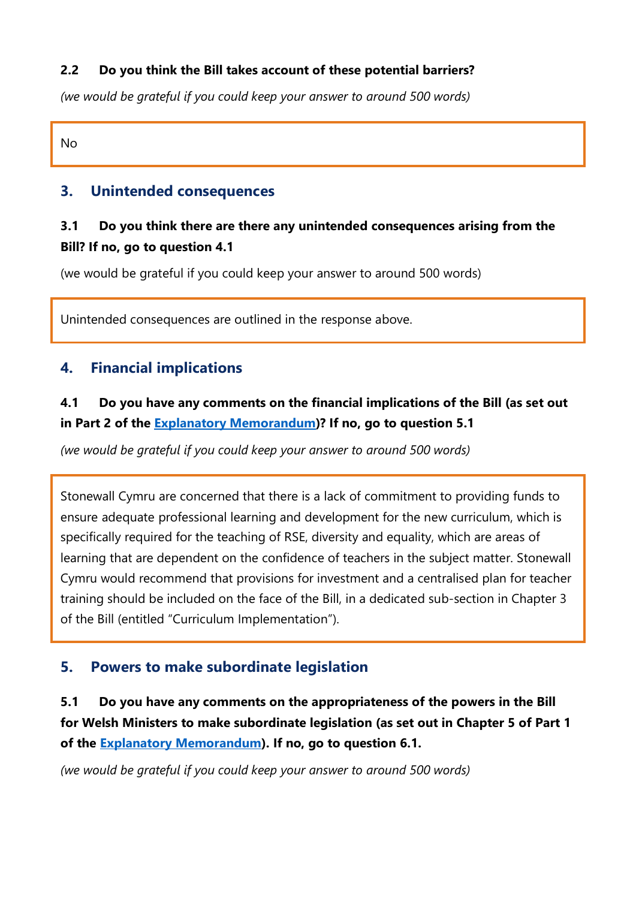#### **2.2 Do you think the Bill takes account of these potential barriers?**

*(we would be grateful if you could keep your answer to around 500 words)*

No

### **3. Unintended consequences**

# **3.1 Do you think there are there any unintended consequences arising from the Bill? If no, go to question 4.1**

(we would be grateful if you could keep your answer to around 500 words)

Unintended consequences are outlined in the response above.

# **4. Financial implications**

# **4.1 Do you have any comments on the financial implications of the Bill (as set out in Part 2 of the [Explanatory Memorandum\)](https://senedd.wales/laid%20documents/pri-ld13294-em/pri-ld13294-em%20-e.pdf)? If no, go to question 5.1**

*(we would be grateful if you could keep your answer to around 500 words)*

Stonewall Cymru are concerned that there is a lack of commitment to providing funds to ensure adequate professional learning and development for the new curriculum, which is specifically required for the teaching of RSE, diversity and equality, which are areas of learning that are dependent on the confidence of teachers in the subject matter. Stonewall Cymru would recommend that provisions for investment and a centralised plan for teacher training should be included on the face of the Bill, in a dedicated sub-section in Chapter 3 of the Bill (entitled "Curriculum Implementation").

# **5. Powers to make subordinate legislation**

**5.1 Do you have any comments on the appropriateness of the powers in the Bill for Welsh Ministers to make subordinate legislation (as set out in Chapter 5 of Part 1 of the [Explanatory Memorandum\)](https://senedd.wales/laid%20documents/pri-ld13294-em/pri-ld13294-em%20-e.pdf). If no, go to question 6.1.**

*(we would be grateful if you could keep your answer to around 500 words)*